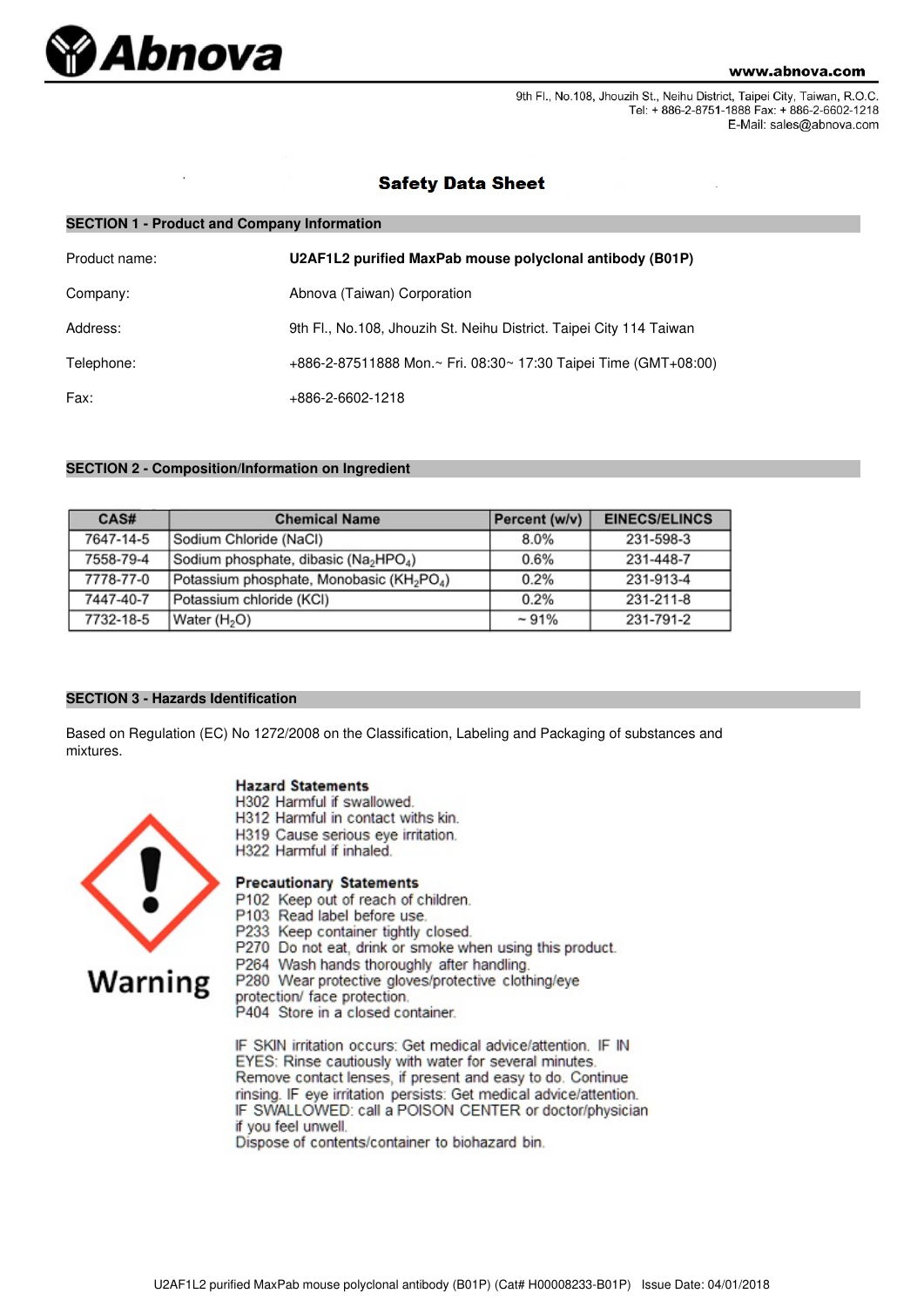

9th Fl., No.108, Jhouzih St., Neihu District, Taipei City, Taiwan, R.O.C. Tel: + 886-2-8751-1888 Fax: + 886-2-6602-1218 E-Mail: sales@abnova.com

## **Safety Data Sheet**

| <b>SECTION 1 - Product and Company Information</b> |                                                                     |  |  |
|----------------------------------------------------|---------------------------------------------------------------------|--|--|
| Product name:                                      | U2AF1L2 purified MaxPab mouse polyclonal antibody (B01P)            |  |  |
| Company:                                           | Abnova (Taiwan) Corporation                                         |  |  |
| Address:                                           | 9th Fl., No.108, Jhouzih St. Neihu District. Taipei City 114 Taiwan |  |  |
| Telephone:                                         | +886-2-87511888 Mon.~ Fri. 08:30~ 17:30 Taipei Time (GMT+08:00)     |  |  |
| Fax:                                               | +886-2-6602-1218                                                    |  |  |

## **SECTION 2 - Composition/Information on Ingredient**

| CAS#      | <b>Chemical Name</b>                                              | Percent (w/v) | <b>EINECS/ELINCS</b> |
|-----------|-------------------------------------------------------------------|---------------|----------------------|
| 7647-14-5 | Sodium Chloride (NaCl)                                            | 8.0%          | 231-598-3            |
| 7558-79-4 | Sodium phosphate, dibasic (Na <sub>2</sub> HPO <sub>4</sub> )     | 0.6%          | 231-448-7            |
| 7778-77-0 | Potassium phosphate, Monobasic (KH <sub>2</sub> PO <sub>4</sub> ) | 0.2%          | 231-913-4            |
| 7447-40-7 | Potassium chloride (KCI)                                          | 0.2%          | 231-211-8            |
| 7732-18-5 | Water (H <sub>2</sub> O)                                          | $~1\%$        | 231-791-2            |

#### **SECTION 3 - Hazards Identification**

Based on Regulation (EC) No 1272/2008 on the Classification, Labeling and Packaging of substances and mixtures.

### **Hazard Statements**

- H302 Harmful if swallowed.
- H312 Harmful in contact withs kin.
- H319 Cause serious eye irritation.
- H322 Harmful if inhaled.

# **Warning**

- **Precautionary Statements**
- P102 Keep out of reach of children.
- P103 Read label before use.
- P233 Keep container tightly closed. P270 Do not eat, drink or smoke when using this product.
- P264 Wash hands thoroughly after handling.
- P280 Wear protective gloves/protective clothing/eye

protection/ face protection.

P404 Store in a closed container.

IF SKIN irritation occurs: Get medical advice/attention. IF IN EYES: Rinse cautiously with water for several minutes. Remove contact lenses, if present and easy to do. Continue rinsing. IF eye irritation persists: Get medical advice/attention. IF SWALLOWED: call a POISON CENTER or doctor/physician if you feel unwell.

Dispose of contents/container to biohazard bin.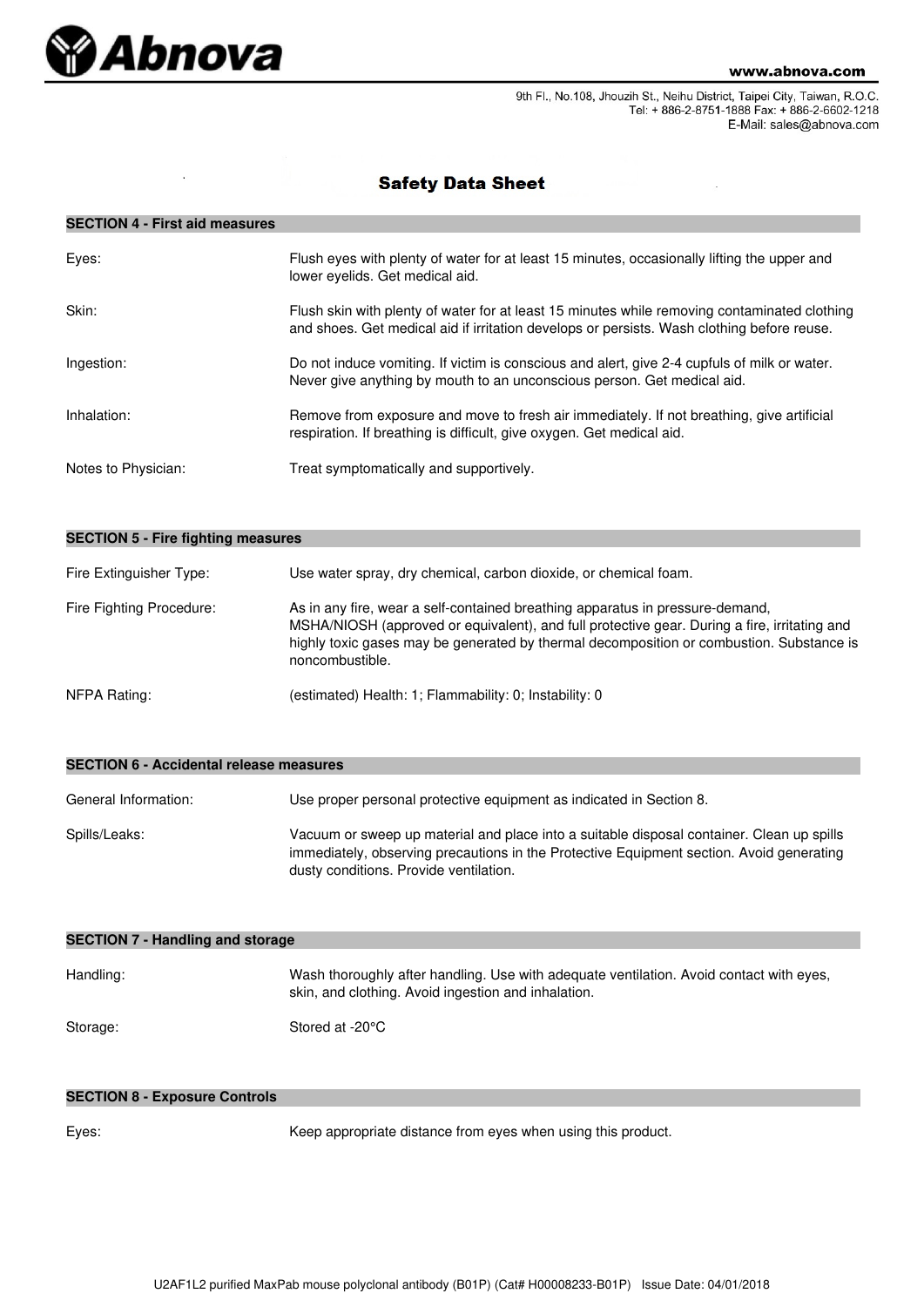

9th Fl., No.108, Jhouzih St., Neihu District, Taipei City, Taiwan, R.O.C. Tel: + 886-2-8751-1888 Fax: + 886-2-6602-1218 E-Mail: sales@abnova.com

# **Safety Data Sheet**

## **SECTION 4 - First aid measures**

| Eyes:               | Flush eyes with plenty of water for at least 15 minutes, occasionally lifting the upper and<br>lower evelids. Get medical aid.                                                             |
|---------------------|--------------------------------------------------------------------------------------------------------------------------------------------------------------------------------------------|
| Skin:               | Flush skin with plenty of water for at least 15 minutes while removing contaminated clothing<br>and shoes. Get medical aid if irritation develops or persists. Wash clothing before reuse. |
| Ingestion:          | Do not induce vomiting. If victim is conscious and alert, give 2-4 cupfuls of milk or water.<br>Never give anything by mouth to an unconscious person. Get medical aid.                    |
| Inhalation:         | Remove from exposure and move to fresh air immediately. If not breathing, give artificial<br>respiration. If breathing is difficult, give oxygen. Get medical aid.                         |
| Notes to Physician: | Treat symptomatically and supportively.                                                                                                                                                    |

| <b>SECTION 5 - Fire fighting measures</b> |                                                                                                                                                                                                                                                                                              |  |  |
|-------------------------------------------|----------------------------------------------------------------------------------------------------------------------------------------------------------------------------------------------------------------------------------------------------------------------------------------------|--|--|
| Fire Extinguisher Type:                   | Use water spray, dry chemical, carbon dioxide, or chemical foam.                                                                                                                                                                                                                             |  |  |
| Fire Fighting Procedure:                  | As in any fire, wear a self-contained breathing apparatus in pressure-demand,<br>MSHA/NIOSH (approved or equivalent), and full protective gear. During a fire, irritating and<br>highly toxic gases may be generated by thermal decomposition or combustion. Substance is<br>noncombustible. |  |  |
| NFPA Rating:                              | (estimated) Health: 1; Flammability: 0; Instability: 0                                                                                                                                                                                                                                       |  |  |

| SECTION 0 - ACCIDENTAL I EIEASE INEASURES |                                                                                                                                                                                                                                 |  |
|-------------------------------------------|---------------------------------------------------------------------------------------------------------------------------------------------------------------------------------------------------------------------------------|--|
| General Information:                      | Use proper personal protective equipment as indicated in Section 8.                                                                                                                                                             |  |
| Spills/Leaks:                             | Vacuum or sweep up material and place into a suitable disposal container. Clean up spills<br>immediately, observing precautions in the Protective Equipment section. Avoid generating<br>dusty conditions. Provide ventilation. |  |

| <b>SECTION 7 - Handling and storage</b> |                                                                                                                                                |  |  |
|-----------------------------------------|------------------------------------------------------------------------------------------------------------------------------------------------|--|--|
| Handling:                               | Wash thoroughly after handling. Use with adequate ventilation. Avoid contact with eyes,<br>skin, and clothing. Avoid ingestion and inhalation. |  |  |
| Storage:                                | Stored at -20°C                                                                                                                                |  |  |

### **SECTION 8 - Exposure Controls**

**SECTION 6 - Accidental release measures**

Eyes: Keep appropriate distance from eyes when using this product.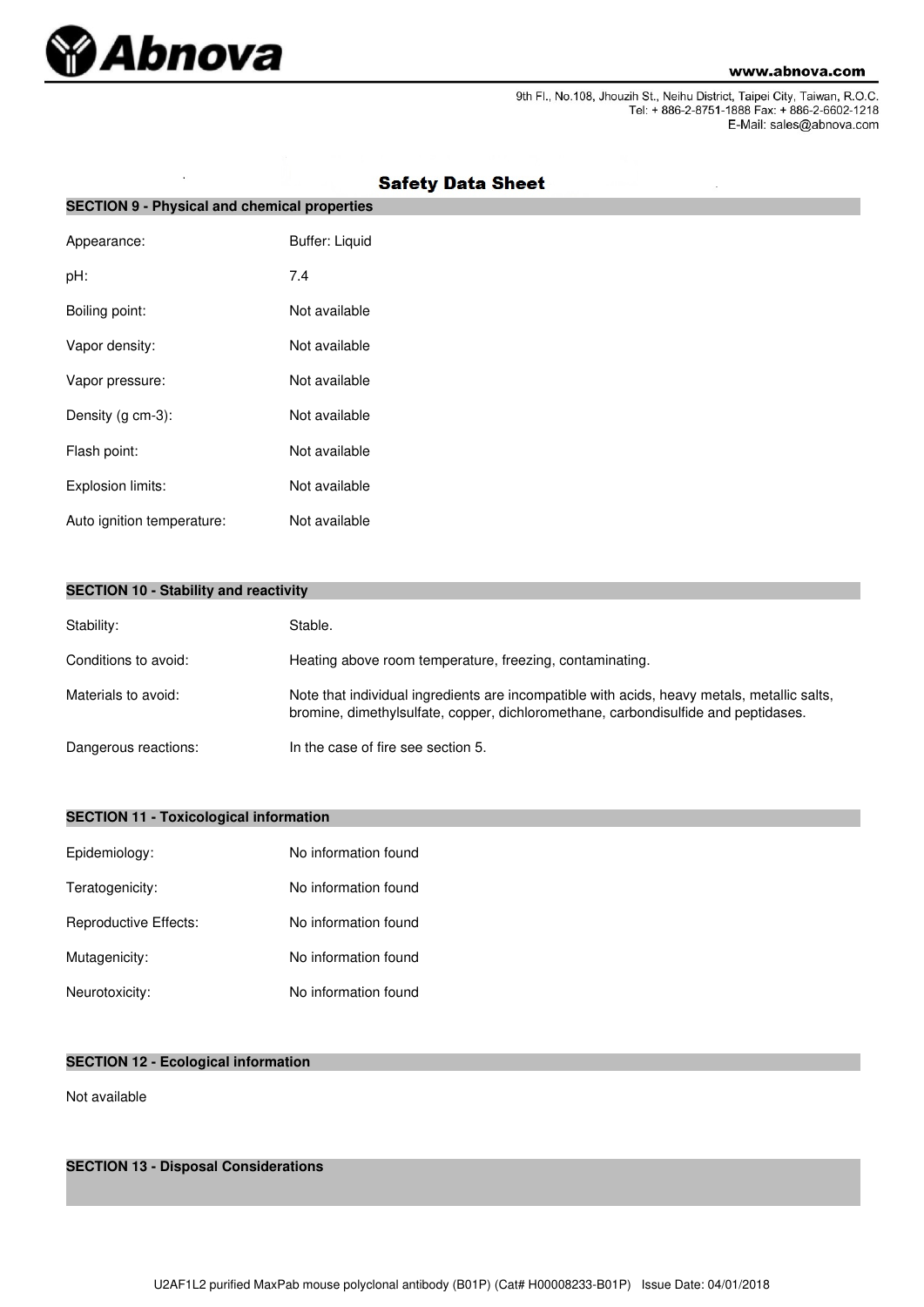

9th Fl., No.108, Jhouzih St., Neihu District, Taipei City, Taiwan, R.O.C.<br>Tel: + 886-2-8751-1888 Fax: + 886-2-6602-1218 E-Mail: sales@abnova.com

| <b>SECTION 9 - Physical and chemical properties</b> |                       |  |  |
|-----------------------------------------------------|-----------------------|--|--|
| Appearance:                                         | <b>Buffer: Liquid</b> |  |  |
| pH:                                                 | 7.4                   |  |  |
| Boiling point:                                      | Not available         |  |  |
| Vapor density:                                      | Not available         |  |  |
| Vapor pressure:                                     | Not available         |  |  |
| Density (g cm-3):                                   | Not available         |  |  |
| Flash point:                                        | Not available         |  |  |
| Explosion limits:                                   | Not available         |  |  |
| Auto ignition temperature:                          | Not available         |  |  |

# **Safety Data Sheet**

|  |  |  |  | <b>SECTION 10 - Stability and reactivity</b> |
|--|--|--|--|----------------------------------------------|
|--|--|--|--|----------------------------------------------|

| Stability:           | Stable.                                                                                                                                                                           |
|----------------------|-----------------------------------------------------------------------------------------------------------------------------------------------------------------------------------|
| Conditions to avoid: | Heating above room temperature, freezing, contaminating.                                                                                                                          |
| Materials to avoid:  | Note that individual ingredients are incompatible with acids, heavy metals, metallic salts,<br>bromine, dimethylsulfate, copper, dichloromethane, carbondisulfide and peptidases. |
| Dangerous reactions: | In the case of fire see section 5.                                                                                                                                                |

## **SECTION 11 - Toxicological information**

| Epidemiology:         | No information found |
|-----------------------|----------------------|
| Teratogenicity:       | No information found |
| Reproductive Effects: | No information found |
| Mutagenicity:         | No information found |
| Neurotoxicity:        | No information found |

## **SECTION 12 - Ecological information**

Not available

**SECTION 13 - Disposal Considerations**